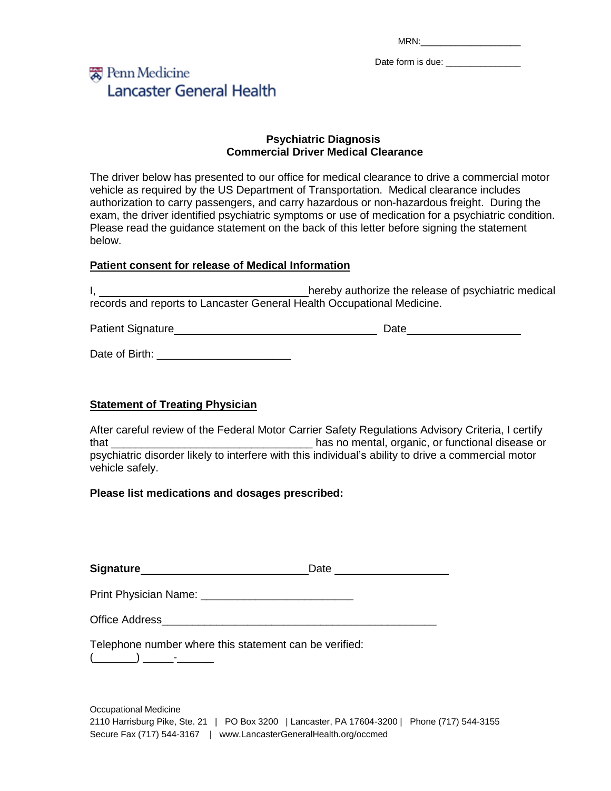MRN:

Date form is due: \_\_\_\_\_\_\_\_\_\_\_\_\_

# 爱 Penn Medicine **Lancaster General Health**

#### **Psychiatric Diagnosis Commercial Driver Medical Clearance**

The driver below has presented to our office for medical clearance to drive a commercial motor vehicle as required by the US Department of Transportation. Medical clearance includes authorization to carry passengers, and carry hazardous or non-hazardous freight. During the exam, the driver identified psychiatric symptoms or use of medication for a psychiatric condition. Please read the guidance statement on the back of this letter before signing the statement below.

### **Patient consent for release of Medical Information**

I,  $\frac{1}{2}$  hereby authorize the release of psychiatric medical records and reports to Lancaster General Health Occupational Medicine.

Patient Signature Date

Date of Birth: **Example 20** 

### **Statement of Treating Physician**

After careful review of the Federal Motor Carrier Safety Regulations Advisory Criteria, I certify that that the settle state of the settle of the settle state of the settle state of the settle state of the set psychiatric disorder likely to interfere with this individual's ability to drive a commercial motor vehicle safely.

### **Please list medications and dosages prescribed:**

**Signature** Date Date

Print Physician Name: **Example 2018** 

Telephone number where this statement can be verified:

(\_\_\_\_\_\_\_) \_\_\_\_\_-\_\_\_\_\_\_

Occupational Medicine 2110 Harrisburg Pike, Ste. 21 | PO Box 3200 | Lancaster, PA 17604-3200 | Phone (717) 544-3155 Secure Fax (717) 544-3167 | www.LancasterGeneralHealth.org/occmed